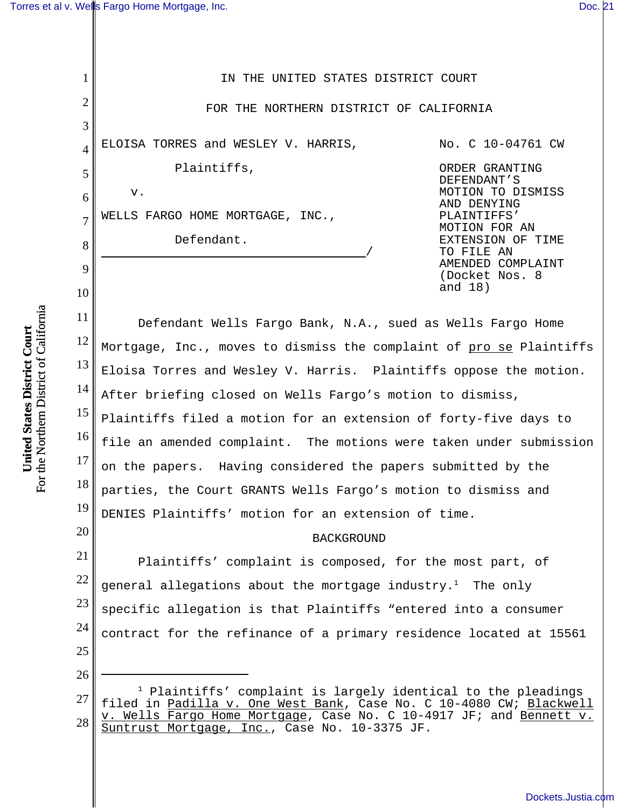1

2

3

4

5

6

7

8

9

10

20

26

IN THE UNITED STATES DISTRICT COURT FOR THE NORTHERN DISTRICT OF CALIFORNIA ELOISA TORRES and WESLEY V. HARRIS, Plaintiffs, v. WELLS FARGO HOME MORTGAGE, INC., Defendant. No. C 10-04761 CW ORDER GRANTING DEFENDANT'S MOTION TO DISMISS AND DENYING PLAINTIFFS' MOTION FOR AN EXTENSION OF TIME TO FILE AN AMENDED COMPLAINT (Docket Nos. 8 and 18)

11 12 13 14 15 16 17 18 19 Defendant Wells Fargo Bank, N.A., sued as Wells Fargo Home Mortgage, Inc., moves to dismiss the complaint of pro se Plaintiffs Eloisa Torres and Wesley V. Harris. Plaintiffs oppose the motion. After briefing closed on Wells Fargo's motion to dismiss, Plaintiffs filed a motion for an extension of forty-five days to file an amended complaint. The motions were taken under submission on the papers. Having considered the papers submitted by the parties, the Court GRANTS Wells Fargo's motion to dismiss and DENIES Plaintiffs' motion for an extension of time.

## BACKGROUND

21 22 23 24 25 Plaintiffs' complaint is composed, for the most part, of general allegations about the mortgage industry.<sup>1</sup> The only specific allegation is that Plaintiffs "entered into a consumer contract for the refinance of a primary residence located at 15561

27 28  $1$  Plaintiffs' complaint is largely identical to the pleadings filed in Padilla v. One West Bank, Case No. C 10-4080 CW; Blackwell v. Wells Fargo Home Mortgage, Case No. C 10-4917 JF; and Bennett v. Suntrust Mortgage, Inc., Case No. 10-3375 JF.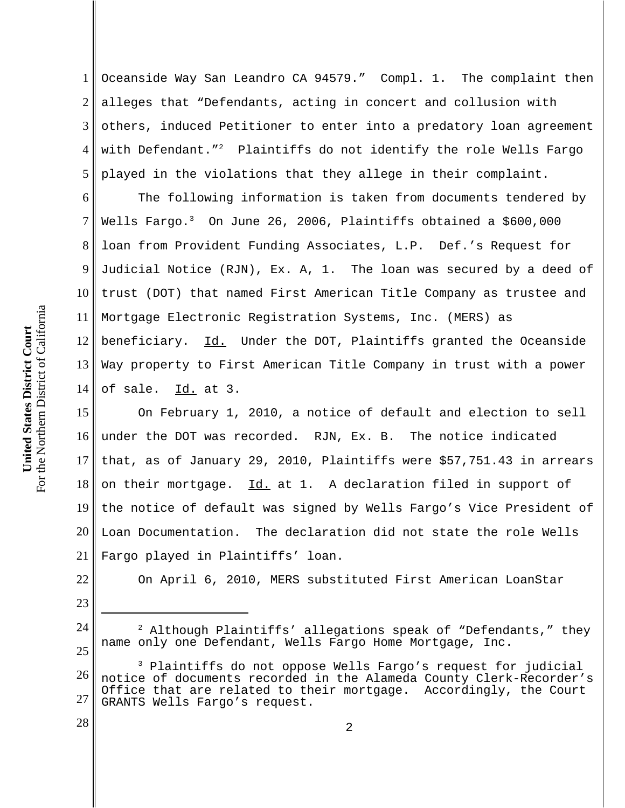1 2 3 4 5 Oceanside Way San Leandro CA 94579." Compl. 1. The complaint then alleges that "Defendants, acting in concert and collusion with others, induced Petitioner to enter into a predatory loan agreement with Defendant."<sup>2</sup> Plaintiffs do not identify the role Wells Fargo played in the violations that they allege in their complaint.

6 7 8 9 10 11 12 13 14 The following information is taken from documents tendered by Wells Fargo.<sup>3</sup> On June 26, 2006, Plaintiffs obtained a \$600,000 loan from Provident Funding Associates, L.P. Def.'s Request for Judicial Notice (RJN), Ex. A, 1. The loan was secured by a deed of trust (DOT) that named First American Title Company as trustee and Mortgage Electronic Registration Systems, Inc. (MERS) as beneficiary. Id. Under the DOT, Plaintiffs granted the Oceanside Way property to First American Title Company in trust with a power of sale. Id. at 3.

15 16 17 18 19 20 21 On February 1, 2010, a notice of default and election to sell under the DOT was recorded. RJN, Ex. B. The notice indicated that, as of January 29, 2010, Plaintiffs were \$57,751.43 in arrears on their mortgage. Id. at 1. A declaration filed in support of the notice of default was signed by Wells Fargo's Vice President of Loan Documentation. The declaration did not state the role Wells Fargo played in Plaintiffs' loan.

On April 6, 2010, MERS substituted First American LoanStar

22

23

24

25

28

 $<sup>2</sup>$  Although Plaintiffs' allegations speak of "Defendants," they</sup> name only one Defendant, Wells Fargo Home Mortgage, Inc.

<sup>26</sup> 27 3 Plaintiffs do not oppose Wells Fargo's request for judicial notice of documents recorded in the Alameda County Clerk-Recorder's Office that are related to their mortgage. Accordingly, the Court GRANTS Wells Fargo's request.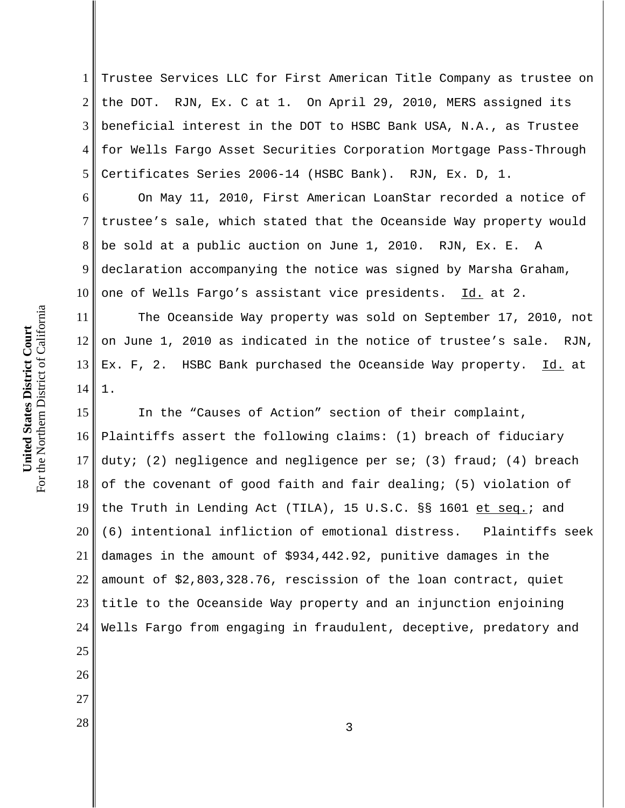1 2 3 4 5 Trustee Services LLC for First American Title Company as trustee on the DOT. RJN, Ex. C at 1. On April 29, 2010, MERS assigned its beneficial interest in the DOT to HSBC Bank USA, N.A., as Trustee for Wells Fargo Asset Securities Corporation Mortgage Pass-Through Certificates Series 2006-14 (HSBC Bank). RJN, Ex. D, 1.

6 7 8 9 10 On May 11, 2010, First American LoanStar recorded a notice of trustee's sale, which stated that the Oceanside Way property would be sold at a public auction on June 1, 2010. RJN, Ex. E. A declaration accompanying the notice was signed by Marsha Graham, one of Wells Fargo's assistant vice presidents. Id. at 2.

11 12 13 14 The Oceanside Way property was sold on September 17, 2010, not on June 1, 2010 as indicated in the notice of trustee's sale. RJN, Ex. F, 2. HSBC Bank purchased the Oceanside Way property. Id. at 1.

15 16 17 18 19 20 21 22 23 24 In the "Causes of Action" section of their complaint, Plaintiffs assert the following claims: (1) breach of fiduciary duty; (2) negligence and negligence per se; (3) fraud; (4) breach of the covenant of good faith and fair dealing; (5) violation of the Truth in Lending Act (TILA), 15 U.S.C. §§ 1601 et seq.; and (6) intentional infliction of emotional distress. Plaintiffs seek damages in the amount of \$934,442.92, punitive damages in the amount of \$2,803,328.76, rescission of the loan contract, quiet title to the Oceanside Way property and an injunction enjoining Wells Fargo from engaging in fraudulent, deceptive, predatory and

For the Northern District of California For the Northern District of California United States District Court **United States District Court**

25

26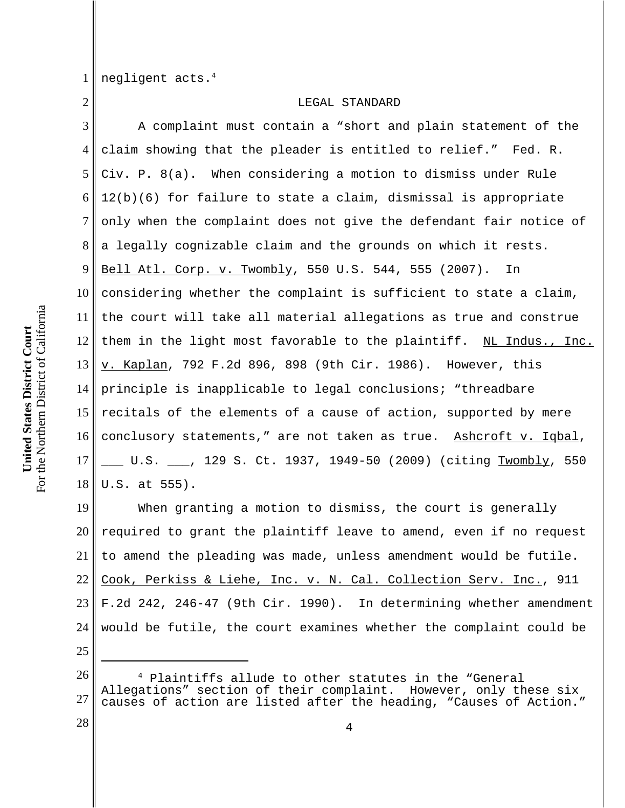1 negligent acts.4

2

## LEGAL STANDARD

3 4 5 6 7 8 9 10 11 12 13 14 15 16 17 18 A complaint must contain a "short and plain statement of the claim showing that the pleader is entitled to relief." Fed. R. Civ. P. 8(a). When considering a motion to dismiss under Rule 12(b)(6) for failure to state a claim, dismissal is appropriate only when the complaint does not give the defendant fair notice of a legally cognizable claim and the grounds on which it rests. Bell Atl. Corp. v. Twombly, 550 U.S. 544, 555 (2007). In considering whether the complaint is sufficient to state a claim, the court will take all material allegations as true and construe them in the light most favorable to the plaintiff. NL Indus., Inc. v. Kaplan, 792 F.2d 896, 898 (9th Cir. 1986). However, this principle is inapplicable to legal conclusions; "threadbare recitals of the elements of a cause of action, supported by mere conclusory statements," are not taken as true. Ashcroft v. Iqbal, \_\_ U.S. \_\_\_, 129 S. Ct. 1937, 1949-50 (2009) (citing <u>Twombly</u>, 550 U.S. at 555).

19 20 21 22 23 24 When granting a motion to dismiss, the court is generally required to grant the plaintiff leave to amend, even if no request to amend the pleading was made, unless amendment would be futile. Cook, Perkiss & Liehe, Inc. v. N. Cal. Collection Serv. Inc., 911 F.2d 242, 246-47 (9th Cir. 1990). In determining whether amendment would be futile, the court examines whether the complaint could be

25

26 27 4 Plaintiffs allude to other statutes in the "General Allegations" section of their complaint. However, only these six causes of action are listed after the heading, "Causes of Action."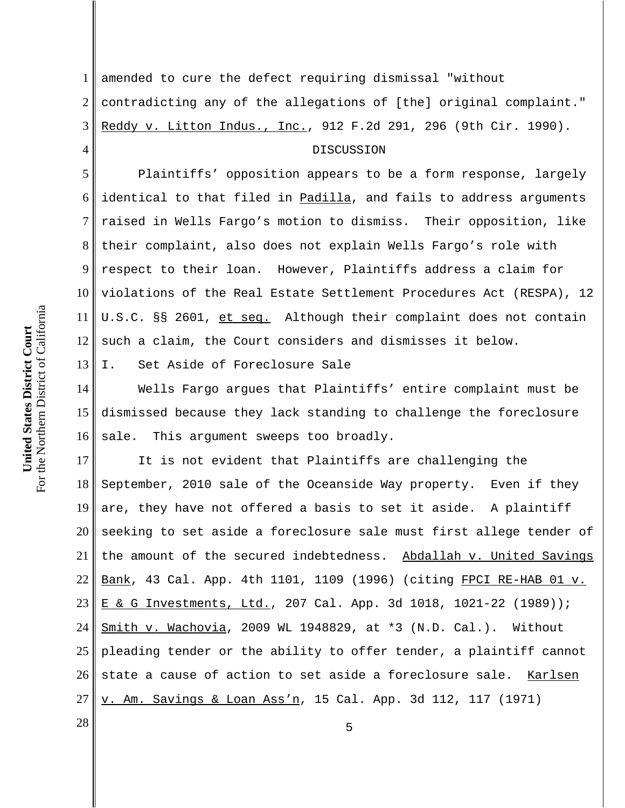1 2 3 amended to cure the defect requiring dismissal "without contradicting any of the allegations of [the] original complaint." Reddy v. Litton Indus., Inc., 912 F.2d 291, 296 (9th Cir. 1990).

## DISCUSSION

5 6 7 8 9 10 11 12 Plaintiffs' opposition appears to be a form response, largely identical to that filed in Padilla, and fails to address arguments raised in Wells Fargo's motion to dismiss. Their opposition, like their complaint, also does not explain Wells Fargo's role with respect to their loan. However, Plaintiffs address a claim for violations of the Real Estate Settlement Procedures Act (RESPA), 12 U.S.C. §§ 2601, et seq. Although their complaint does not contain such a claim, the Court considers and dismisses it below.

13 I. Set Aside of Foreclosure Sale

14 15 16 Wells Fargo argues that Plaintiffs' entire complaint must be dismissed because they lack standing to challenge the foreclosure sale. This argument sweeps too broadly.

17 18 19 20 21 22 23 24 25 26 27 It is not evident that Plaintiffs are challenging the September, 2010 sale of the Oceanside Way property. Even if they are, they have not offered a basis to set it aside. A plaintiff seeking to set aside a foreclosure sale must first allege tender of the amount of the secured indebtedness. Abdallah v. United Savings Bank, 43 Cal. App. 4th 1101, 1109 (1996) (citing FPCI RE-HAB 01 v. E & G Investments, Ltd., 207 Cal. App. 3d 1018, 1021-22 (1989)); Smith v. Wachovia, 2009 WL 1948829, at \*3 (N.D. Cal.). Without pleading tender or the ability to offer tender, a plaintiff cannot state a cause of action to set aside a foreclosure sale. Karlsen v. Am. Savings & Loan Ass'n, 15 Cal. App. 3d 112, 117 (1971)

For the Northern District of California For the Northern District of California United States District Court **United States District Court**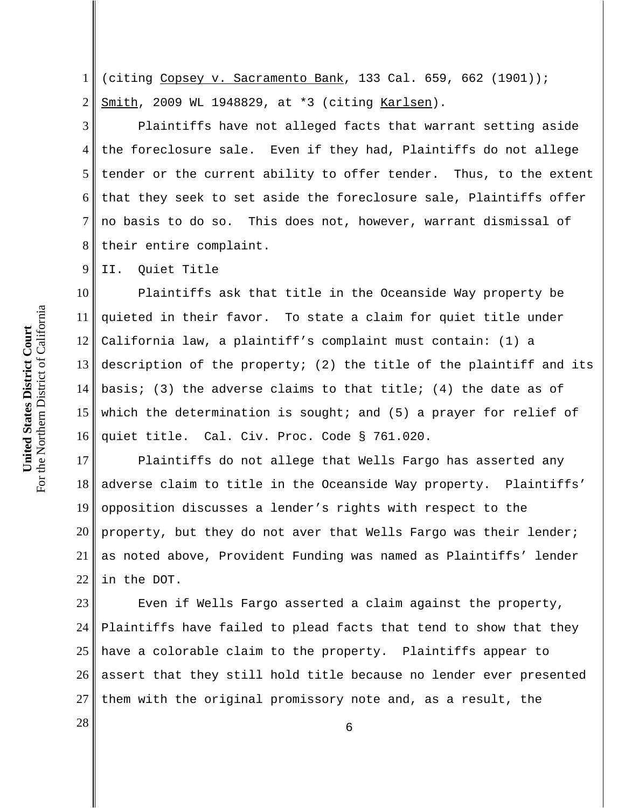1 2 (citing Copsey v. Sacramento Bank, 133 Cal. 659, 662 (1901)); Smith, 2009 WL 1948829, at \*3 (citing Karlsen).

3 4 5 6 7 8 Plaintiffs have not alleged facts that warrant setting aside the foreclosure sale. Even if they had, Plaintiffs do not allege tender or the current ability to offer tender. Thus, to the extent that they seek to set aside the foreclosure sale, Plaintiffs offer no basis to do so. This does not, however, warrant dismissal of their entire complaint.

9 II. Quiet Title

10 11 12 13 14 15 16 Plaintiffs ask that title in the Oceanside Way property be quieted in their favor. To state a claim for quiet title under California law, a plaintiff's complaint must contain: (1) a description of the property; (2) the title of the plaintiff and its basis; (3) the adverse claims to that title; (4) the date as of which the determination is sought; and  $(5)$  a prayer for relief of quiet title. Cal. Civ. Proc. Code § 761.020.

17 18 19 20 21 22 Plaintiffs do not allege that Wells Fargo has asserted any adverse claim to title in the Oceanside Way property. Plaintiffs' opposition discusses a lender's rights with respect to the property, but they do not aver that Wells Fargo was their lender; as noted above, Provident Funding was named as Plaintiffs' lender in the DOT.

23 24 25 26 27 Even if Wells Fargo asserted a claim against the property, Plaintiffs have failed to plead facts that tend to show that they have a colorable claim to the property. Plaintiffs appear to assert that they still hold title because no lender ever presented them with the original promissory note and, as a result, the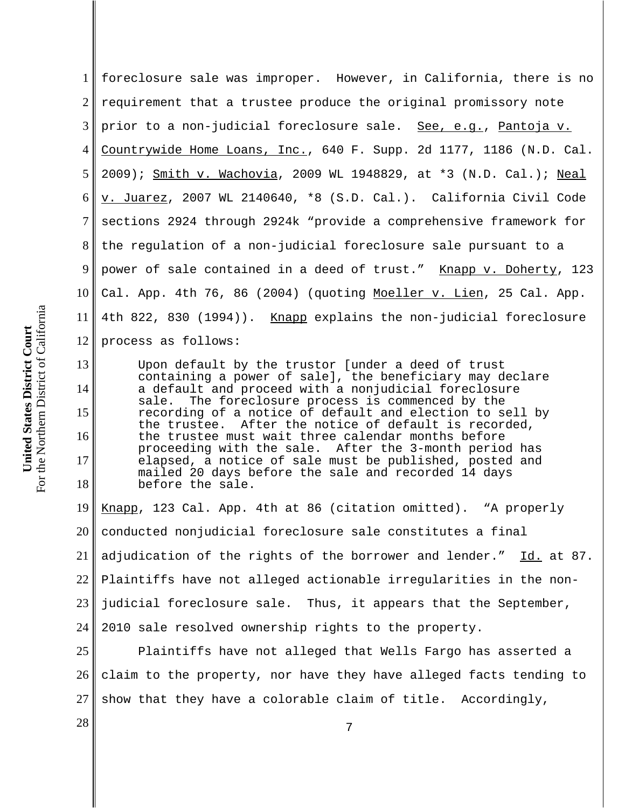1 2 3 4 5 6 7 8 9 10 11 12 foreclosure sale was improper. However, in California, there is no requirement that a trustee produce the original promissory note prior to a non-judicial foreclosure sale. See, e.g., Pantoja v. Countrywide Home Loans, Inc., 640 F. Supp. 2d 1177, 1186 (N.D. Cal. 2009); Smith v. Wachovia, 2009 WL 1948829, at \*3 (N.D. Cal.); Neal v. Juarez, 2007 WL 2140640, \*8 (S.D. Cal.). California Civil Code sections 2924 through 2924k "provide a comprehensive framework for the regulation of a non-judicial foreclosure sale pursuant to a power of sale contained in a deed of trust." Knapp v. Doherty, 123 Cal. App. 4th 76, 86 (2004) (quoting Moeller v. Lien, 25 Cal. App. 4th 822, 830 (1994)). <u>Knapp</u> explains the non-judicial foreclosure process as follows:

Upon default by the trustor [under a deed of trust containing a power of sale], the beneficiary may declare a default and proceed with a nonjudicial foreclosure sale. The foreclosure process is commenced by the recording of a notice of default and election to sell by the trustee. After the notice of default is recorded, the trustee must wait three calendar months before proceeding with the sale. After the 3-month period has elapsed, a notice of sale must be published, posted and mailed 20 days before the sale and recorded 14 days before the sale.

19 20 21 22 23 24 Knapp, 123 Cal. App. 4th at 86 (citation omitted). "A properly conducted nonjudicial foreclosure sale constitutes a final adjudication of the rights of the borrower and lender." Id. at 87. Plaintiffs have not alleged actionable irregularities in the nonjudicial foreclosure sale. Thus, it appears that the September, 2010 sale resolved ownership rights to the property.

25 26 27 Plaintiffs have not alleged that Wells Fargo has asserted a claim to the property, nor have they have alleged facts tending to show that they have a colorable claim of title. Accordingly,

13

14

15

16

17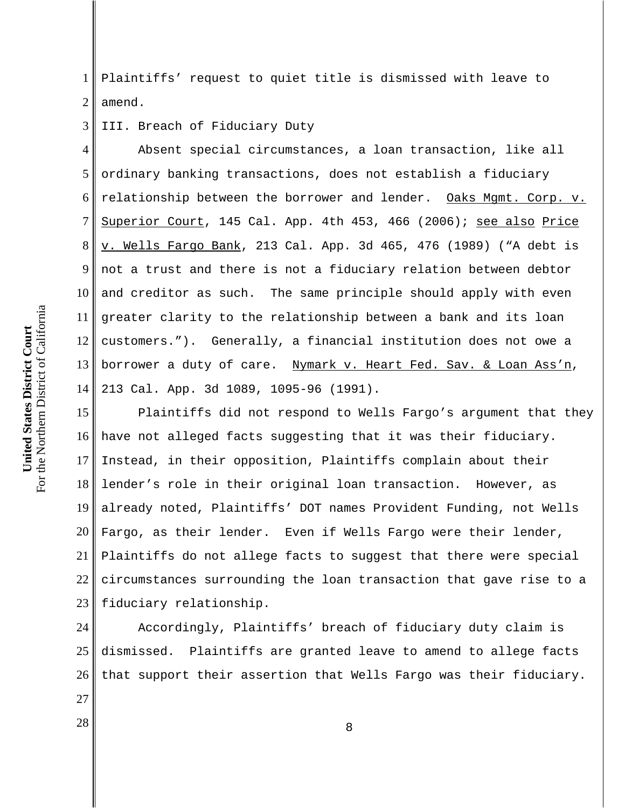For the Northern District of California For the Northern District of California United States District Court **United States District Court**

27

1 2 Plaintiffs' request to quiet title is dismissed with leave to amend.

3 III. Breach of Fiduciary Duty

4 5 6 7 8 9 10 11 12 13 14 Absent special circumstances, a loan transaction, like all ordinary banking transactions, does not establish a fiduciary relationship between the borrower and lender. Oaks Mgmt. Corp. v. Superior Court, 145 Cal. App. 4th 453, 466 (2006); see also Price v. Wells Fargo Bank, 213 Cal. App. 3d 465, 476 (1989) ("A debt is not a trust and there is not a fiduciary relation between debtor and creditor as such. The same principle should apply with even greater clarity to the relationship between a bank and its loan customers."). Generally, a financial institution does not owe a borrower a duty of care. Nymark v. Heart Fed. Sav. & Loan Ass'n, 213 Cal. App. 3d 1089, 1095-96 (1991).

15 16 17 18 19 20 21 22 23 Plaintiffs did not respond to Wells Fargo's argument that they have not alleged facts suggesting that it was their fiduciary. Instead, in their opposition, Plaintiffs complain about their lender's role in their original loan transaction. However, as already noted, Plaintiffs' DOT names Provident Funding, not Wells Fargo, as their lender. Even if Wells Fargo were their lender, Plaintiffs do not allege facts to suggest that there were special circumstances surrounding the loan transaction that gave rise to a fiduciary relationship.

24 25 26 Accordingly, Plaintiffs' breach of fiduciary duty claim is dismissed. Plaintiffs are granted leave to amend to allege facts that support their assertion that Wells Fargo was their fiduciary.

 $\begin{array}{c|c|c|c|c} \hline 28 & & & 8 \ \hline \end{array}$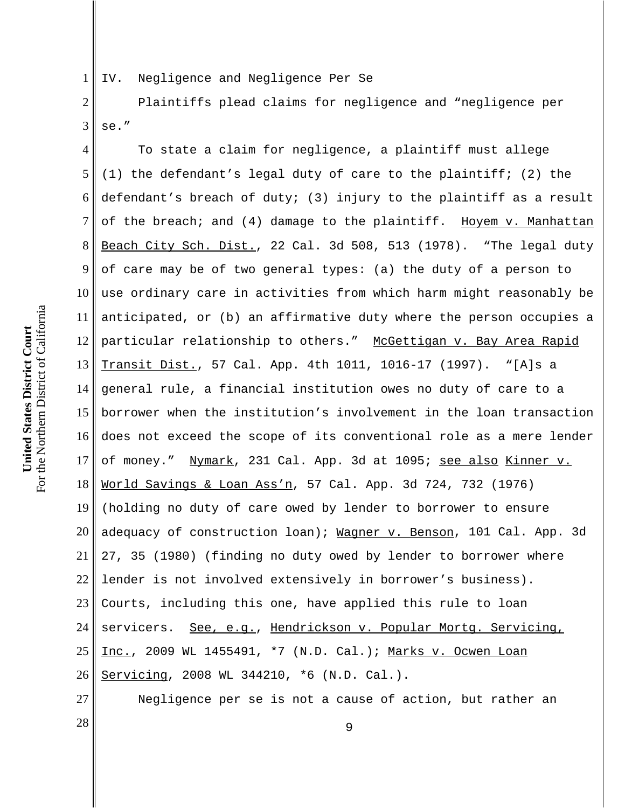1 IV. Negligence and Negligence Per Se

2 3 Plaintiffs plead claims for negligence and "negligence per se."

4 5 6 7 8 9 10 11 12 13 14 15 16 17 18 19 20 21 22 23 24 25 26 To state a claim for negligence, a plaintiff must allege (1) the defendant's legal duty of care to the plaintiff; (2) the defendant's breach of duty; (3) injury to the plaintiff as a result of the breach; and (4) damage to the plaintiff. Hoyem v. Manhattan Beach City Sch. Dist., 22 Cal. 3d 508, 513 (1978). "The legal duty of care may be of two general types: (a) the duty of a person to use ordinary care in activities from which harm might reasonably be anticipated, or (b) an affirmative duty where the person occupies a particular relationship to others." McGettigan v. Bay Area Rapid Transit Dist., 57 Cal. App. 4th 1011, 1016-17 (1997). "[A]s a general rule, a financial institution owes no duty of care to a borrower when the institution's involvement in the loan transaction does not exceed the scope of its conventional role as a mere lender of money." Nymark, 231 Cal. App. 3d at 1095; see also Kinner v. World Savings & Loan Ass'n, 57 Cal. App. 3d 724, 732 (1976) (holding no duty of care owed by lender to borrower to ensure adequacy of construction loan); Wagner v. Benson, 101 Cal. App. 3d 27, 35 (1980) (finding no duty owed by lender to borrower where lender is not involved extensively in borrower's business). Courts, including this one, have applied this rule to loan servicers. See, e.g., Hendrickson v. Popular Mortg. Servicing, Inc., 2009 WL 1455491, \*7 (N.D. Cal.); Marks v. Ocwen Loan Servicing, 2008 WL 344210, \*6 (N.D. Cal.).

Negligence per se is not a cause of action, but rather an

For the Northern District of California For the Northern District of California United States District Court **United States District Court**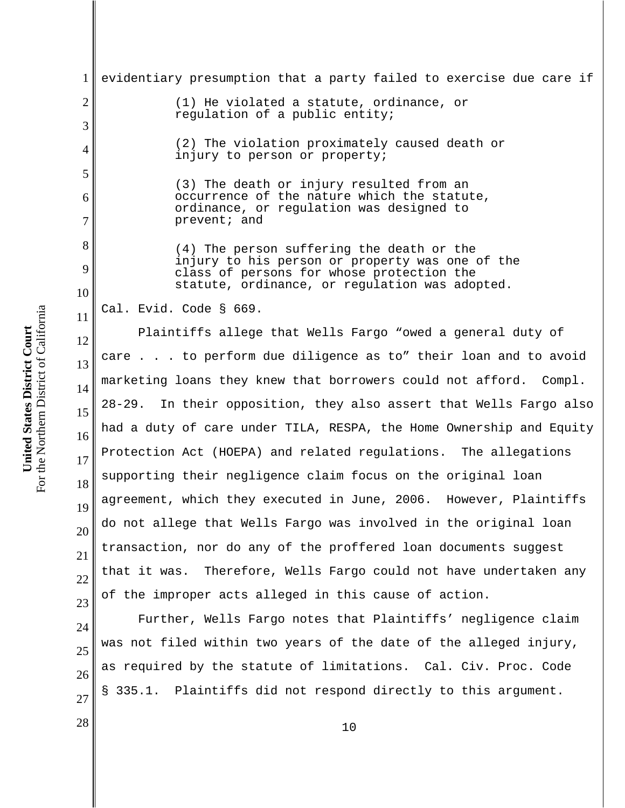1 2 3 4 5 6 7 8 9 10 11 12 13 14 15 16 17 18 19 20 21 22 23 evidentiary presumption that a party failed to exercise due care if (1) He violated a statute, ordinance, or regulation of a public entity; (2) The violation proximately caused death or injury to person or property; (3) The death or injury resulted from an occurrence of the nature which the statute, ordinance, or regulation was designed to prevent; and (4) The person suffering the death or the injury to his person or property was one of the class of persons for whose protection the statute, ordinance, or regulation was adopted. Cal. Evid. Code § 669. Plaintiffs allege that Wells Fargo "owed a general duty of care . . . to perform due diligence as to" their loan and to avoid marketing loans they knew that borrowers could not afford. Compl. 28-29. In their opposition, they also assert that Wells Fargo also had a duty of care under TILA, RESPA, the Home Ownership and Equity Protection Act (HOEPA) and related regulations. The allegations supporting their negligence claim focus on the original loan agreement, which they executed in June, 2006. However, Plaintiffs do not allege that Wells Fargo was involved in the original loan transaction, nor do any of the proffered loan documents suggest that it was. Therefore, Wells Fargo could not have undertaken any of the improper acts alleged in this cause of action.

Further, Wells Fargo notes that Plaintiffs' negligence claim was not filed within two years of the date of the alleged injury, as required by the statute of limitations. Cal. Civ. Proc. Code § 335.1. Plaintiffs did not respond directly to this argument.

For the Northern District of California For the Northern District of California United States District Court **United States District Court**

24

25

26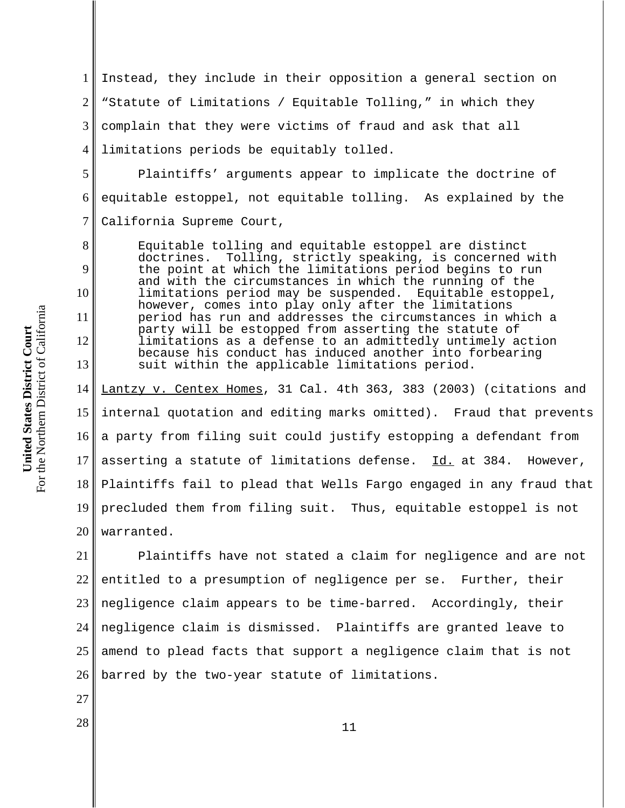1 2 3 4 Instead, they include in their opposition a general section on "Statute of Limitations / Equitable Tolling," in which they complain that they were victims of fraud and ask that all limitations periods be equitably tolled.

5 6 7 Plaintiffs' arguments appear to implicate the doctrine of equitable estoppel, not equitable tolling. As explained by the California Supreme Court,

Equitable tolling and equitable estoppel are distinct doctrines. Tolling, strictly speaking, is concerned with the point at which the limitations period begins to run and with the circumstances in which the running of the limitations period may be suspended. Equitable estoppel, however, comes into play only after the limitations period has run and addresses the circumstances in which a party will be estopped from asserting the statute of limitations as a defense to an admittedly untimely action because his conduct has induced another into forbearing suit within the applicable limitations period.

14 15 16 17 18 19 20 Lantzy v. Centex Homes, 31 Cal. 4th 363, 383 (2003) (citations and internal quotation and editing marks omitted). Fraud that prevents a party from filing suit could justify estopping a defendant from asserting a statute of limitations defense. Id. at 384. However, Plaintiffs fail to plead that Wells Fargo engaged in any fraud that precluded them from filing suit. Thus, equitable estoppel is not warranted.

21 22 23 24 25 26 Plaintiffs have not stated a claim for negligence and are not entitled to a presumption of negligence per se. Further, their negligence claim appears to be time-barred. Accordingly, their negligence claim is dismissed. Plaintiffs are granted leave to amend to plead facts that support a negligence claim that is not barred by the two-year statute of limitations.

For the Northern District of California For the Northern District of California United States District Court **United States District Court**

8

9

10

11

12

13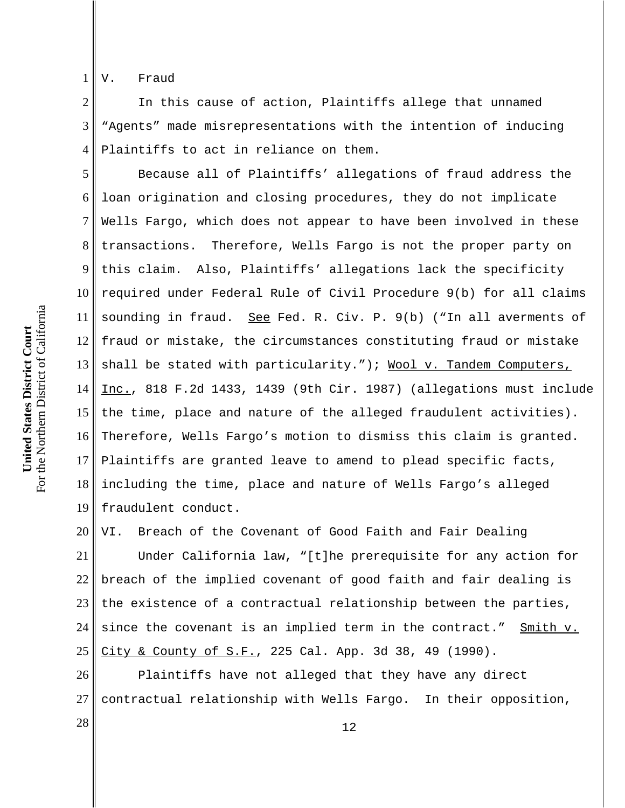1 V. Fraud

2 3 4 In this cause of action, Plaintiffs allege that unnamed "Agents" made misrepresentations with the intention of inducing Plaintiffs to act in reliance on them.

5 6 7 8 9 10 11 12 13 14 15 16 17 18 19 Because all of Plaintiffs' allegations of fraud address the loan origination and closing procedures, they do not implicate Wells Fargo, which does not appear to have been involved in these transactions. Therefore, Wells Fargo is not the proper party on this claim. Also, Plaintiffs' allegations lack the specificity required under Federal Rule of Civil Procedure 9(b) for all claims sounding in fraud. See Fed. R. Civ. P. 9(b) ("In all averments of fraud or mistake, the circumstances constituting fraud or mistake shall be stated with particularity."); Wool v. Tandem Computers, Inc., 818 F.2d 1433, 1439 (9th Cir. 1987) (allegations must include the time, place and nature of the alleged fraudulent activities). Therefore, Wells Fargo's motion to dismiss this claim is granted. Plaintiffs are granted leave to amend to plead specific facts, including the time, place and nature of Wells Fargo's alleged fraudulent conduct.

20 21 22 23 24 25 VI. Breach of the Covenant of Good Faith and Fair Dealing Under California law, "[t]he prerequisite for any action for breach of the implied covenant of good faith and fair dealing is the existence of a contractual relationship between the parties, since the covenant is an implied term in the contract." Smith v. City & County of S.F., 225 Cal. App. 3d 38, 49 (1990).

26 27 Plaintiffs have not alleged that they have any direct contractual relationship with Wells Fargo. In their opposition,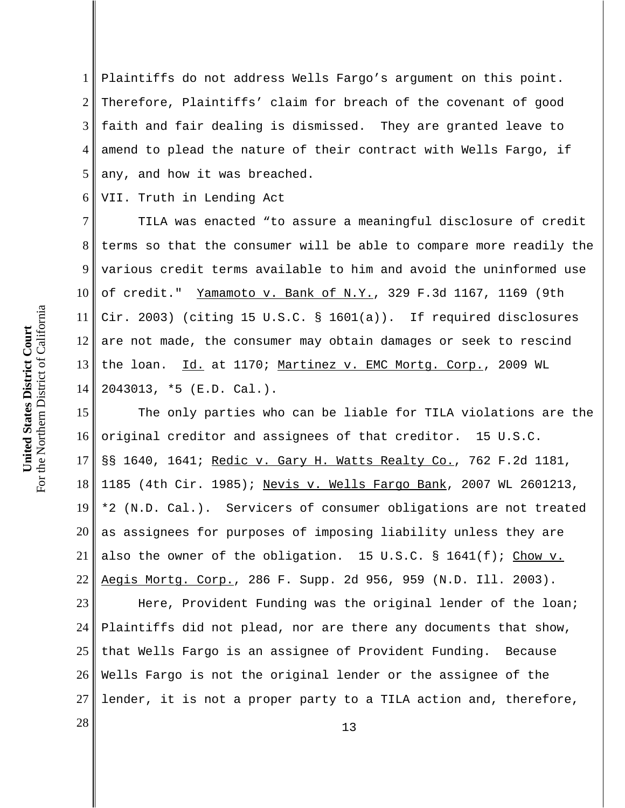1 2 3 4 5 Plaintiffs do not address Wells Fargo's argument on this point. Therefore, Plaintiffs' claim for breach of the covenant of good faith and fair dealing is dismissed. They are granted leave to amend to plead the nature of their contract with Wells Fargo, if any, and how it was breached.

6 VII. Truth in Lending Act

7 8 9 10 11 12 13 14 TILA was enacted "to assure a meaningful disclosure of credit terms so that the consumer will be able to compare more readily the various credit terms available to him and avoid the uninformed use of credit." Yamamoto v. Bank of N.Y., 329 F.3d 1167, 1169 (9th Cir. 2003) (citing 15 U.S.C. § 1601(a)). If required disclosures are not made, the consumer may obtain damages or seek to rescind the loan. Id. at 1170; Martinez v. EMC Mortg. Corp., 2009 WL 2043013, \*5 (E.D. Cal.).

15 16 17 18 19 20 21 22 The only parties who can be liable for TILA violations are the original creditor and assignees of that creditor. 15 U.S.C. §§ 1640, 1641; Redic v. Gary H. Watts Realty Co., 762 F.2d 1181, 1185 (4th Cir. 1985); Nevis v. Wells Fargo Bank, 2007 WL 2601213, \*2 (N.D. Cal.). Servicers of consumer obligations are not treated as assignees for purposes of imposing liability unless they are also the owner of the obligation. 15 U.S.C. § 1641(f); Chow v. Aegis Mortg. Corp., 286 F. Supp. 2d 956, 959 (N.D. Ill. 2003).

23 24 25 26 27 Here, Provident Funding was the original lender of the loan; Plaintiffs did not plead, nor are there any documents that show, that Wells Fargo is an assignee of Provident Funding. Because Wells Fargo is not the original lender or the assignee of the lender, it is not a proper party to a TILA action and, therefore,

 $\begin{array}{|c|c|c|c|c|}\n \hline\n 28 & 13 \\
\hline\n \end{array}$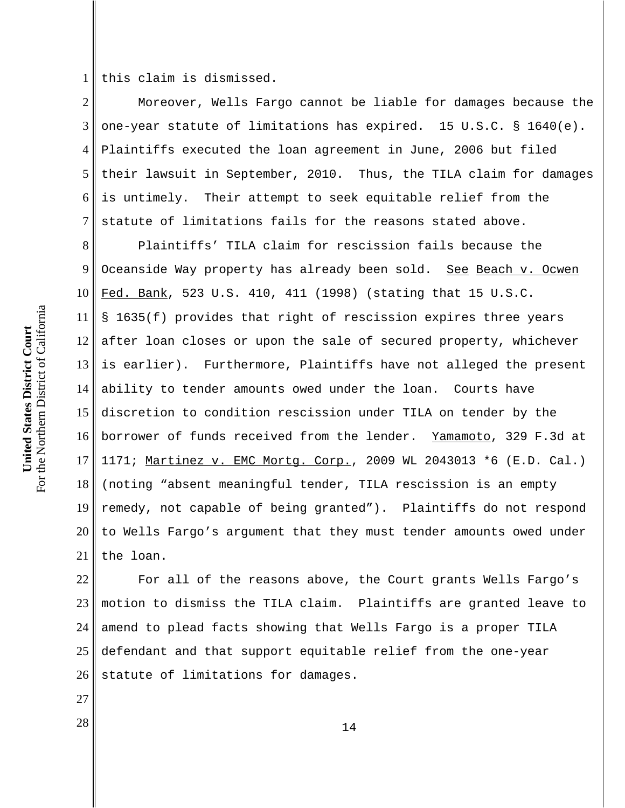1 this claim is dismissed.

2 3 4 5 6 7 Moreover, Wells Fargo cannot be liable for damages because the one-year statute of limitations has expired. 15 U.S.C. § 1640(e). Plaintiffs executed the loan agreement in June, 2006 but filed their lawsuit in September, 2010. Thus, the TILA claim for damages is untimely. Their attempt to seek equitable relief from the statute of limitations fails for the reasons stated above.

8 9 10 11 12 13 14 15 16 17 18 19 20 21 Plaintiffs' TILA claim for rescission fails because the Oceanside Way property has already been sold. See Beach v. Ocwen Fed. Bank, 523 U.S. 410, 411 (1998) (stating that 15 U.S.C. § 1635(f) provides that right of rescission expires three years after loan closes or upon the sale of secured property, whichever is earlier). Furthermore, Plaintiffs have not alleged the present ability to tender amounts owed under the loan. Courts have discretion to condition rescission under TILA on tender by the borrower of funds received from the lender. Yamamoto, 329 F.3d at 1171; Martinez v. EMC Mortg. Corp., 2009 WL 2043013 \*6 (E.D. Cal.) (noting "absent meaningful tender, TILA rescission is an empty remedy, not capable of being granted"). Plaintiffs do not respond to Wells Fargo's argument that they must tender amounts owed under the loan.

22 23 24 25 26 For all of the reasons above, the Court grants Wells Fargo's motion to dismiss the TILA claim. Plaintiffs are granted leave to amend to plead facts showing that Wells Fargo is a proper TILA defendant and that support equitable relief from the one-year statute of limitations for damages.

For the Northern District of California For the Northern District of California United States District Court **United States District Court**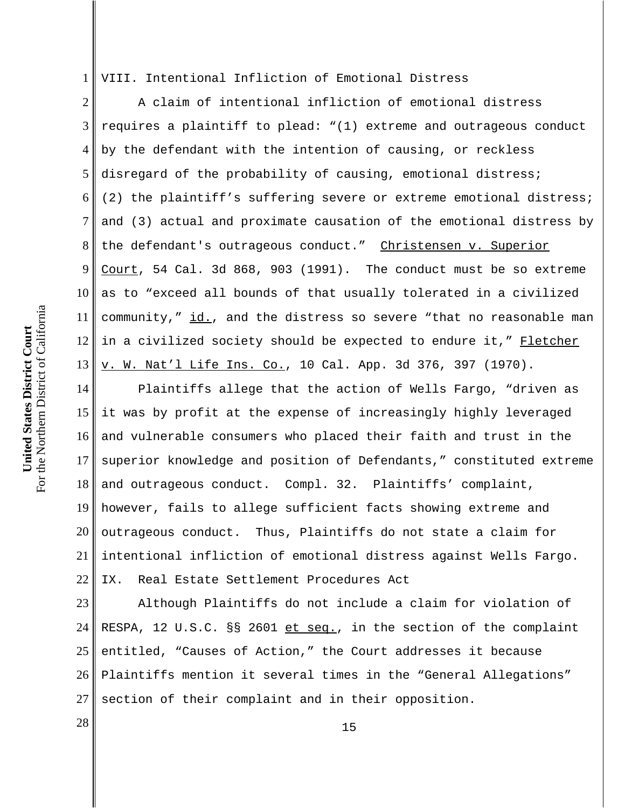1 VIII. Intentional Infliction of Emotional Distress

2 3 4 5 6 7 8 9 10 11 12 13 A claim of intentional infliction of emotional distress requires a plaintiff to plead: "(1) extreme and outrageous conduct by the defendant with the intention of causing, or reckless disregard of the probability of causing, emotional distress; (2) the plaintiff's suffering severe or extreme emotional distress; and (3) actual and proximate causation of the emotional distress by the defendant's outrageous conduct." Christensen v. Superior Court, 54 Cal. 3d 868, 903 (1991). The conduct must be so extreme as to "exceed all bounds of that usually tolerated in a civilized community," id., and the distress so severe "that no reasonable man in a civilized society should be expected to endure it," Fletcher v. W. Nat'l Life Ins. Co., 10 Cal. App. 3d 376, 397 (1970).

14 15 16 17 18 19 20 21 22 Plaintiffs allege that the action of Wells Fargo, "driven as it was by profit at the expense of increasingly highly leveraged and vulnerable consumers who placed their faith and trust in the superior knowledge and position of Defendants," constituted extreme and outrageous conduct. Compl. 32. Plaintiffs' complaint, however, fails to allege sufficient facts showing extreme and outrageous conduct. Thus, Plaintiffs do not state a claim for intentional infliction of emotional distress against Wells Fargo. IX. Real Estate Settlement Procedures Act

23 24 25 26 27 Although Plaintiffs do not include a claim for violation of RESPA, 12 U.S.C. §§ 2601 et seq., in the section of the complaint entitled, "Causes of Action," the Court addresses it because Plaintiffs mention it several times in the "General Allegations" section of their complaint and in their opposition.

For the Northern District of California For the Northern District of California United States District Court **United States District Court**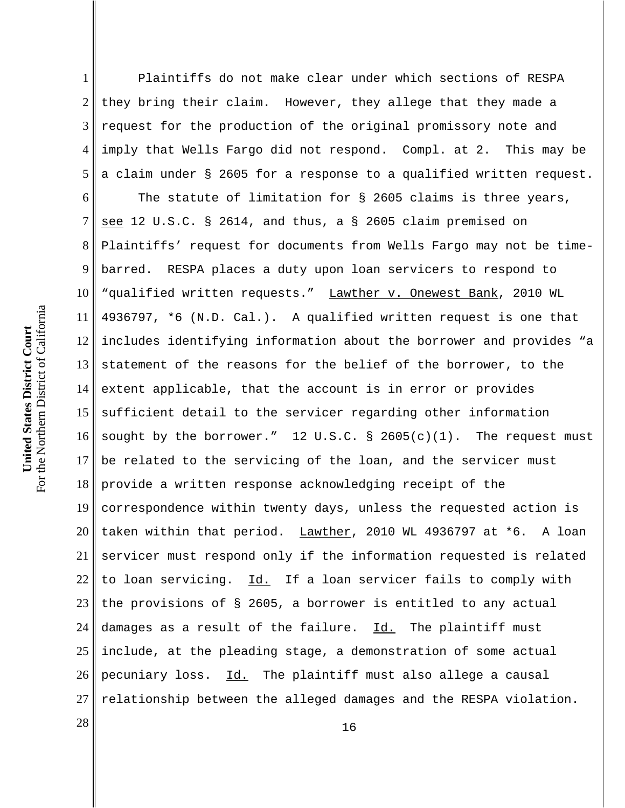1 2 3 4 5 Plaintiffs do not make clear under which sections of RESPA they bring their claim. However, they allege that they made a request for the production of the original promissory note and imply that Wells Fargo did not respond. Compl. at 2. This may be a claim under § 2605 for a response to a qualified written request.

6 7 8 9 10 11 12 13 14 15 16 17 18 19 20 21 22 23 24 25 26 27 The statute of limitation for § 2605 claims is three years, see 12 U.S.C. § 2614, and thus, a § 2605 claim premised on Plaintiffs' request for documents from Wells Fargo may not be timebarred. RESPA places a duty upon loan servicers to respond to "qualified written requests." Lawther v. Onewest Bank, 2010 WL 4936797, \*6 (N.D. Cal.). A qualified written request is one that includes identifying information about the borrower and provides "a statement of the reasons for the belief of the borrower, to the extent applicable, that the account is in error or provides sufficient detail to the servicer regarding other information sought by the borrower." 12 U.S.C. § 2605(c)(1). The request must be related to the servicing of the loan, and the servicer must provide a written response acknowledging receipt of the correspondence within twenty days, unless the requested action is taken within that period. Lawther, 2010 WL 4936797 at \*6. A loan servicer must respond only if the information requested is related to loan servicing. Id. If a loan servicer fails to comply with the provisions of § 2605, a borrower is entitled to any actual damages as a result of the failure. Id. The plaintiff must include, at the pleading stage, a demonstration of some actual pecuniary loss. Id. The plaintiff must also allege a causal relationship between the alleged damages and the RESPA violation.

 $\begin{array}{c|c|c|c} 28 & 16 \end{array}$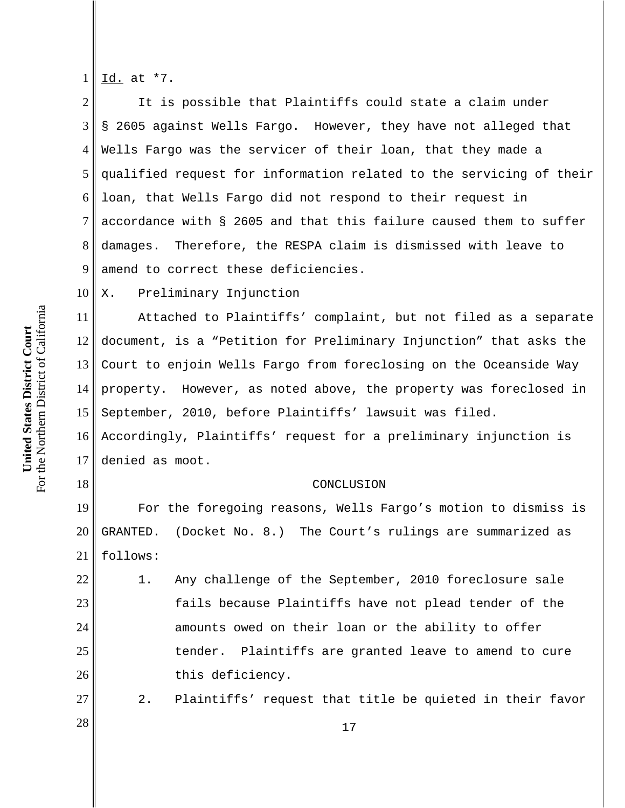For the Northern District of California For the Northern District of California United States District Court **United States District Court**

18

22

23

24

25

26

27

1 Id. at \*7.

2 3 4 5 6 7 8 9 It is possible that Plaintiffs could state a claim under § 2605 against Wells Fargo. However, they have not alleged that Wells Fargo was the servicer of their loan, that they made a qualified request for information related to the servicing of their loan, that Wells Fargo did not respond to their request in accordance with § 2605 and that this failure caused them to suffer damages. Therefore, the RESPA claim is dismissed with leave to amend to correct these deficiencies.

10 X. Preliminary Injunction

11 12 13 14 15 Attached to Plaintiffs' complaint, but not filed as a separate document, is a "Petition for Preliminary Injunction" that asks the Court to enjoin Wells Fargo from foreclosing on the Oceanside Way property. However, as noted above, the property was foreclosed in September, 2010, before Plaintiffs' lawsuit was filed.

16 17 Accordingly, Plaintiffs' request for a preliminary injunction is denied as moot.

## CONCLUSION

19 20 21 For the foregoing reasons, Wells Fargo's motion to dismiss is GRANTED. (Docket No. 8.) The Court's rulings are summarized as follows:

1. Any challenge of the September, 2010 foreclosure sale fails because Plaintiffs have not plead tender of the amounts owed on their loan or the ability to offer tender. Plaintiffs are granted leave to amend to cure this deficiency.

2. Plaintiffs' request that title be quieted in their favor

 $\begin{array}{c|c|c|c|c} \hline \end{array}$  28 | 17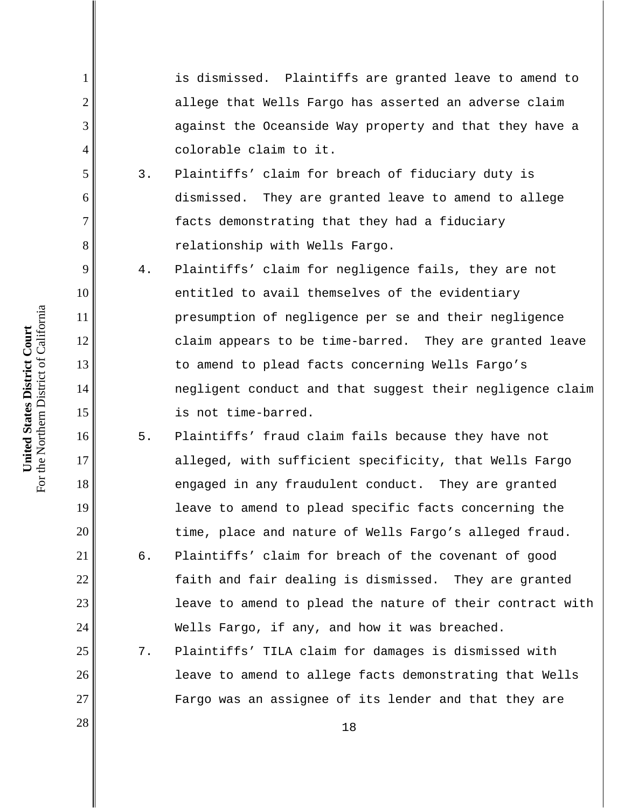is dismissed. Plaintiffs are granted leave to amend to allege that Wells Fargo has asserted an adverse claim against the Oceanside Way property and that they have a colorable claim to it.

- 3. Plaintiffs' claim for breach of fiduciary duty is dismissed. They are granted leave to amend to allege facts demonstrating that they had a fiduciary relationship with Wells Fargo.
- 4. Plaintiffs' claim for negligence fails, they are not entitled to avail themselves of the evidentiary presumption of negligence per se and their negligence claim appears to be time-barred. They are granted leave to amend to plead facts concerning Wells Fargo's negligent conduct and that suggest their negligence claim is not time-barred.
- 5. Plaintiffs' fraud claim fails because they have not alleged, with sufficient specificity, that Wells Fargo engaged in any fraudulent conduct. They are granted leave to amend to plead specific facts concerning the time, place and nature of Wells Fargo's alleged fraud. 6. Plaintiffs' claim for breach of the covenant of good faith and fair dealing is dismissed. They are granted leave to amend to plead the nature of their contract with Wells Fargo, if any, and how it was breached.
	- 7. Plaintiffs' TILA claim for damages is dismissed with leave to amend to allege facts demonstrating that Wells Fargo was an assignee of its lender and that they are

For the Northern District of California For the Northern District of California United States District Court **United States District Court**

1

2

3

4

5

6

7

8

9

10

11

12

13

14

15

16

17

18

19

20

21

22

23

24

25

26

27

 $\begin{array}{|c|c|c|c|c|}\n \hline\n 28 & & 18 \\
\hline\n \end{array}$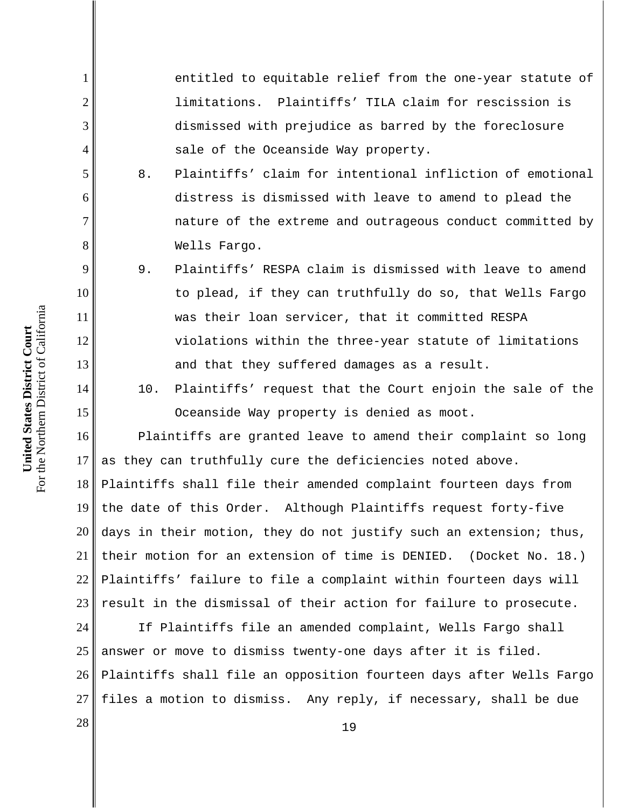entitled to equitable relief from the one-year statute of limitations. Plaintiffs' TILA claim for rescission is dismissed with prejudice as barred by the foreclosure sale of the Oceanside Way property.

- 8. Plaintiffs' claim for intentional infliction of emotional distress is dismissed with leave to amend to plead the nature of the extreme and outrageous conduct committed by Wells Fargo.
- 9. Plaintiffs' RESPA claim is dismissed with leave to amend to plead, if they can truthfully do so, that Wells Fargo was their loan servicer, that it committed RESPA violations within the three-year statute of limitations and that they suffered damages as a result.
- 10. Plaintiffs' request that the Court enjoin the sale of the Oceanside Way property is denied as moot.

16 17 18 19 20 21 22 23 Plaintiffs are granted leave to amend their complaint so long as they can truthfully cure the deficiencies noted above. Plaintiffs shall file their amended complaint fourteen days from the date of this Order. Although Plaintiffs request forty-five days in their motion, they do not justify such an extension; thus, their motion for an extension of time is DENIED. (Docket No. 18.) Plaintiffs' failure to file a complaint within fourteen days will result in the dismissal of their action for failure to prosecute.

24 25 26 27 If Plaintiffs file an amended complaint, Wells Fargo shall answer or move to dismiss twenty-one days after it is filed. Plaintiffs shall file an opposition fourteen days after Wells Fargo files a motion to dismiss. Any reply, if necessary, shall be due

1

2

3

4

5

6

7

8

9

10

11

12

13

14

15

 $\begin{array}{c|c|c|c} \hline 28 & & & 19 \ \hline \end{array}$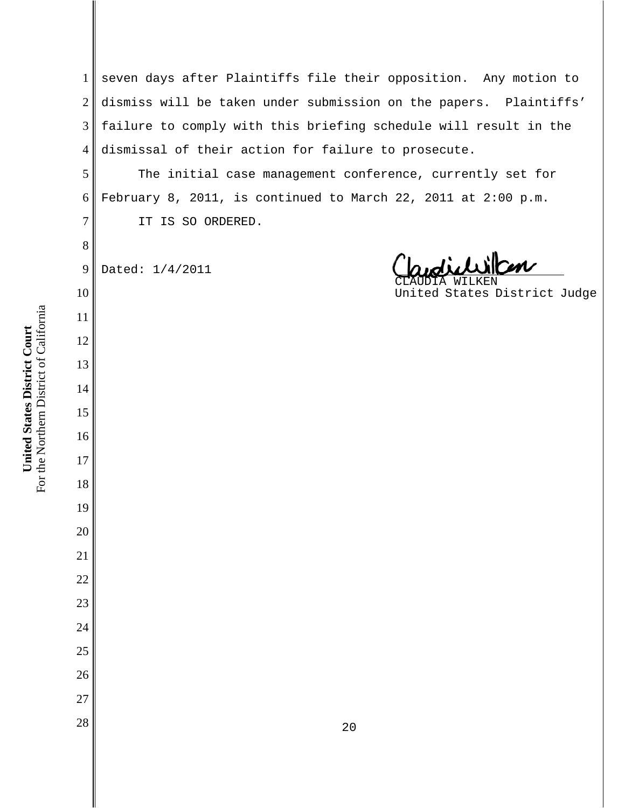seven days after Plaintiffs file their opposition. Any motion to dismiss will be taken under submission on the papers. Plaintiffs' failure to comply with this briefing schedule will result in the dismissal of their action for failure to prosecute.

The initial case management conference, currently set for February 8, 2011, is continued to March 22, 2011 at 2:00 p.m. IT IS SO ORDERED.

 Dated: 1/4/2011

CLAUDIA WILKEN United States District Judge

For the Northern District of California For the Northern District of California United States District Court **United States District Court**